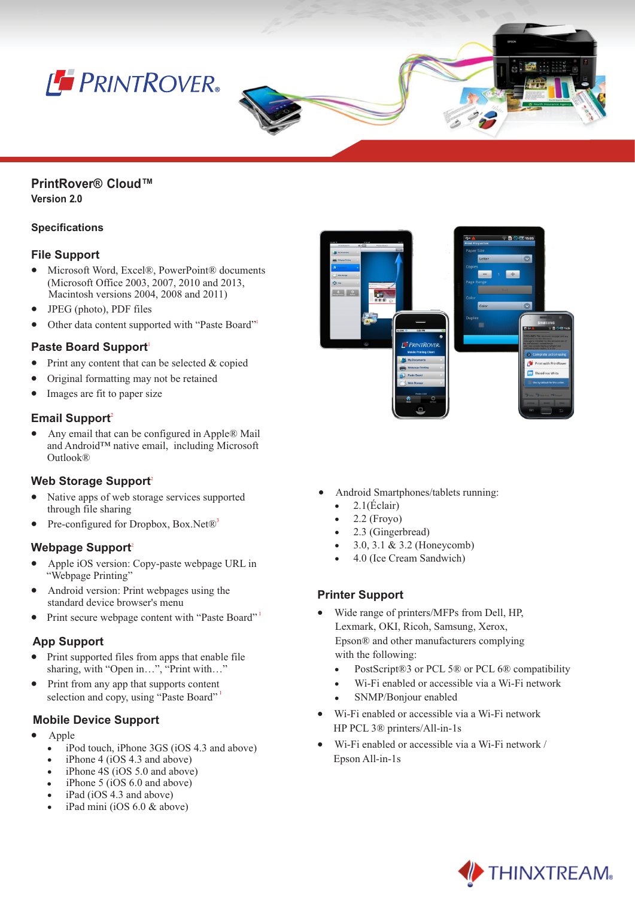

# **PrintRover® Cloud™**

**Version 2.0**

#### **Specifications**

#### **File Support**

- · Microsoft Word, Excel®, PowerPoint® documents (Microsoft Office 2003, 2007, 2010 and 2013, Macintosh versions 2004, 2008 and 2011)
- JPEG (photo), PDF files
- Other data content supported with "Paste Board"<sup>1</sup>

#### **Paste Board Support** 1

- Print any content that can be selected  $&$  copied
- Original formatting may not be retained
- Images are fit to paper size

#### **Email Support** 2

• Any email that can be configured in Apple® Mail and Android™ native email, including Microsoft Outlook®

#### **Web Storage Support** 2

- Native apps of web storage services supported through file sharing
- Pre-configured for Dropbox, Box.Net $\mathbb{B}^3$

#### **Webpage Support** 2

- · Apple iOS version: Copy-paste webpage URL in "Webpage Printing"
- · Android version: Print webpages using the standard device browser's menu
- Print secure webpage content with "Paste Board"<sup>1</sup>

#### **App Support**

- · Print supported files from apps that enable file sharing, with "Open in...", "Print with..."
- Print from any app that supports content selection and copy, using "Paste Board"<sup>1</sup>

#### **Mobile Device Support**

- · Apple
	- · iPod touch, iPhone 3GS (iOS 4.3 and above)
	- iPhone 4 (iOS 4.3 and above)
	- iPhone 4S (iOS 5.0 and above)
	- iPhone 5 (iOS 6.0 and above)
	- iPad (iOS 4.3 and above)
	- iPad mini (iOS 6.0 & above)



- · Android Smartphones/tablets running:
	- $2.1$ (Éclair)
	- · 2.2 (Froyo)
	- 2.3 (Gingerbread)
	- · 3.0, 3.1 & 3.2 (Honeycomb)
	- · 4.0 (Ice Cream Sandwich)

#### **Printer Support**

- Wide range of printers/MFPs from Dell, HP, Lexmark, OKI, Ricoh, Samsung, Xerox, Epson® and other manufacturers complying with the following:
	- PostScript®3 or PCL 5® or PCL 6® compatibility
	- Wi-Fi enabled or accessible via a Wi-Fi network
	- SNMP/Bonjour enabled
- · Wi-Fi enabled or accessible via a Wi-Fi network HP PCL 3® printers/All-in-1s
- Wi-Fi enabled or accessible via a Wi-Fi network / Epson All-in-1s